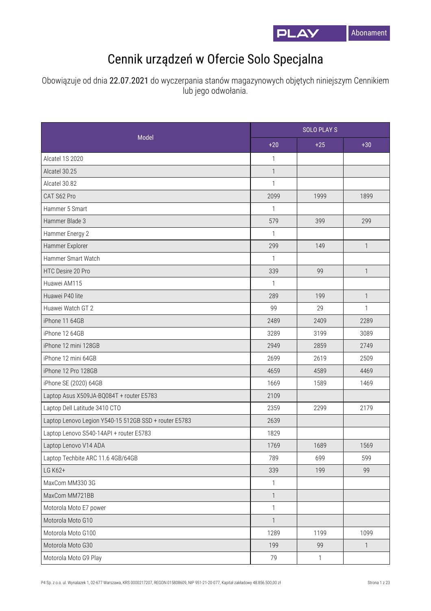

## Cennik urządzeń w Ofercie Solo Specjalna

Obowiązuje od dnia 22.07.2021 do wyczerpania stanów magazynowych objętych niniejszym Cennikiem lub jego odwołania.

|                                                       |              | <b>SOLO PLAYS</b> |              |  |
|-------------------------------------------------------|--------------|-------------------|--------------|--|
| Model                                                 | $+20$        | $+25$             | $+30$        |  |
| Alcatel 1S 2020                                       | 1            |                   |              |  |
| Alcatel 30.25                                         | $\mathbf{1}$ |                   |              |  |
| Alcatel 30.82                                         | $\mathbf{1}$ |                   |              |  |
| CAT S62 Pro                                           | 2099         | 1999              | 1899         |  |
| Hammer 5 Smart                                        | 1            |                   |              |  |
| Hammer Blade 3                                        | 579          | 399               | 299          |  |
| Hammer Energy 2                                       | 1            |                   |              |  |
| Hammer Explorer                                       | 299          | 149               | $\mathbf{1}$ |  |
| Hammer Smart Watch                                    | $\mathbf{1}$ |                   |              |  |
| HTC Desire 20 Pro                                     | 339          | 99                | $\mathbf{1}$ |  |
| Huawei AM115                                          | $\mathbf{1}$ |                   |              |  |
| Huawei P40 lite                                       | 289          | 199               | $\mathbf{1}$ |  |
| Huawei Watch GT 2                                     | 99           | 29                | $\mathbf{1}$ |  |
| iPhone 11 64GB                                        | 2489         | 2409              | 2289         |  |
| iPhone 12 64GB                                        | 3289         | 3199              | 3089         |  |
| iPhone 12 mini 128GB                                  | 2949         | 2859              | 2749         |  |
| iPhone 12 mini 64GB                                   | 2699         | 2619              | 2509         |  |
| iPhone 12 Pro 128GB                                   | 4659         | 4589              | 4469         |  |
| iPhone SE (2020) 64GB                                 | 1669         | 1589              | 1469         |  |
| Laptop Asus X509JA-BQ084T + router E5783              | 2109         |                   |              |  |
| Laptop Dell Latitude 3410 CTO                         | 2359         | 2299              | 2179         |  |
| Laptop Lenovo Legion Y540-15 512GB SSD + router E5783 | 2639         |                   |              |  |
| Laptop Lenovo S540-14API + router E5783               | 1829         |                   |              |  |
| Laptop Lenovo V14 ADA                                 | 1769         | 1689              | 1569         |  |
| Laptop Techbite ARC 11.6 4GB/64GB                     | 789          | 699               | 599          |  |
| LG K62+                                               | 339          | 199               | 99           |  |
| MaxCom MM330 3G                                       | $\mathbf{1}$ |                   |              |  |
| MaxCom MM721BB                                        | $\mathbf{1}$ |                   |              |  |
| Motorola Moto E7 power                                | $\mathbf{1}$ |                   |              |  |
| Motorola Moto G10                                     | $\mathbf{1}$ |                   |              |  |
| Motorola Moto G100                                    | 1289         | 1199              | 1099         |  |
| Motorola Moto G30                                     | 199          | 99                | $\mathbf{1}$ |  |
| Motorola Moto G9 Play                                 | 79           | $\mathbf{1}$      |              |  |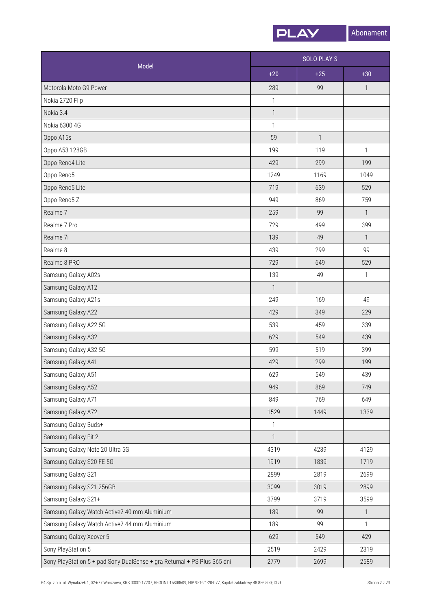

| Model                                                                    |                           | <b>SOLO PLAYS</b> |              |  |
|--------------------------------------------------------------------------|---------------------------|-------------------|--------------|--|
|                                                                          | $+20$                     | $+25$             | $+30$        |  |
| Motorola Moto G9 Power                                                   | 289                       | 99                | $\mathbf{1}$ |  |
| Nokia 2720 Flip                                                          | 1                         |                   |              |  |
| Nokia 3.4                                                                | $\mathbf{1}$              |                   |              |  |
| Nokia 6300 4G                                                            | $\mathbf{1}$              |                   |              |  |
| Oppo A15s                                                                | 59                        | $\mathbf{1}$      |              |  |
| Oppo A53 128GB                                                           | 199                       | 119               | $\mathbf{1}$ |  |
| Oppo Reno4 Lite                                                          | 429                       | 299               | 199          |  |
| Oppo Reno5                                                               | 1249                      | 1169              | 1049         |  |
| Oppo Reno5 Lite                                                          | 719                       | 639               | 529          |  |
| Oppo Reno5 Z                                                             | 949                       | 869               | 759          |  |
| Realme 7                                                                 | 259                       | 99                | $\mathbf{1}$ |  |
| Realme 7 Pro                                                             | 729                       | 499               | 399          |  |
| Realme 7i                                                                | 139                       | 49                | $\mathbf{1}$ |  |
| Realme 8                                                                 | 439                       | 299               | 99           |  |
| Realme 8 PRO                                                             | 729                       | 649               | 529          |  |
| Samsung Galaxy A02s                                                      | 139                       | 49                | $\mathbf{1}$ |  |
| Samsung Galaxy A12                                                       | $\mathbf{1}$              |                   |              |  |
| Samsung Galaxy A21s                                                      | 249                       | 169               | 49           |  |
| Samsung Galaxy A22                                                       | 429                       | 349               | 229          |  |
| Samsung Galaxy A22 5G                                                    | 539                       | 459               | 339          |  |
| Samsung Galaxy A32                                                       | 629                       | 549               | 439          |  |
| Samsung Galaxy A32 5G                                                    | 599                       | 519               | 399          |  |
| Samsung Galaxy A41                                                       | 429                       | 299               | 199          |  |
| Samsung Galaxy A51                                                       | 629                       | 549               | 439          |  |
| Samsung Galaxy A52                                                       | 949                       | 869               | 749          |  |
| Samsung Galaxy A71                                                       | 849                       | 769               | 649          |  |
| Samsung Galaxy A72                                                       | 1529                      | 1449              | 1339         |  |
| Samsung Galaxy Buds+                                                     | $\ensuremath{\mathsf{1}}$ |                   |              |  |
| Samsung Galaxy Fit 2                                                     | $\mathbf{1}$              |                   |              |  |
| Samsung Galaxy Note 20 Ultra 5G                                          | 4319                      | 4239              | 4129         |  |
| Samsung Galaxy S20 FE 5G                                                 | 1919                      | 1839              | 1719         |  |
| Samsung Galaxy S21                                                       | 2899                      | 2819              | 2699         |  |
| Samsung Galaxy S21 256GB                                                 | 3099                      | 3019              | 2899         |  |
| Samsung Galaxy S21+                                                      | 3799                      | 3719              | 3599         |  |
| Samsung Galaxy Watch Active2 40 mm Aluminium                             | 189                       | 99                | $\mathbf{1}$ |  |
| Samsung Galaxy Watch Active2 44 mm Aluminium                             | 189                       | 99                | $\mathbf{1}$ |  |
| Samsung Galaxy Xcover 5                                                  | 629                       | 549               | 429          |  |
| Sony PlayStation 5                                                       | 2519                      | 2429              | 2319         |  |
| Sony PlayStation 5 + pad Sony DualSense + gra Returnal + PS Plus 365 dni | 2779                      | 2699              | 2589         |  |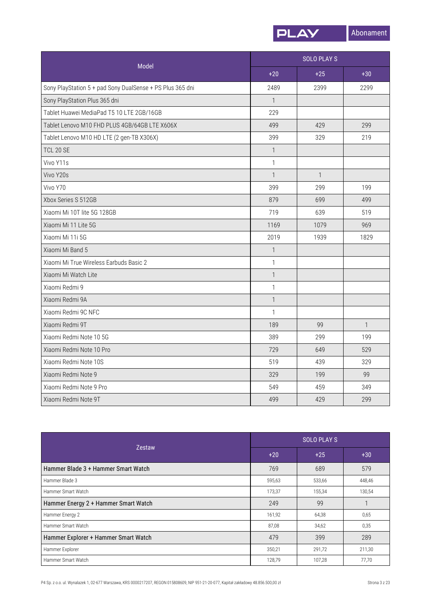

| Model                                                     |              | <b>SOLO PLAYS</b> |              |  |
|-----------------------------------------------------------|--------------|-------------------|--------------|--|
|                                                           | $+20$        | $+25$             | $+30$        |  |
| Sony PlayStation 5 + pad Sony DualSense + PS Plus 365 dni | 2489         | 2399              | 2299         |  |
| Sony PlayStation Plus 365 dni                             | $\mathbf{1}$ |                   |              |  |
| Tablet Huawei MediaPad T5 10 LTE 2GB/16GB                 | 229          |                   |              |  |
| Tablet Lenovo M10 FHD PLUS 4GB/64GB LTE X606X             | 499          | 429               | 299          |  |
| Tablet Lenovo M10 HD LTE (2 gen-TB X306X)                 | 399          | 329               | 219          |  |
| <b>TCL 20 SE</b>                                          | $\mathbf{1}$ |                   |              |  |
| Vivo Y11s                                                 | $\mathbf{1}$ |                   |              |  |
| Vivo Y20s                                                 | $\mathbf{1}$ | $\mathbf{1}$      |              |  |
| Vivo Y70                                                  | 399          | 299               | 199          |  |
| Xbox Series S 512GB                                       | 879          | 699               | 499          |  |
| Xiaomi Mi 10T lite 5G 128GB                               | 719          | 639               | 519          |  |
| Xiaomi Mi 11 Lite 5G                                      | 1169         | 1079              | 969          |  |
| Xiaomi Mi 11i 5G                                          | 2019         | 1939              | 1829         |  |
| Xiaomi Mi Band 5                                          | $\mathbf{1}$ |                   |              |  |
| Xiaomi Mi True Wireless Earbuds Basic 2                   | $\mathbf{1}$ |                   |              |  |
| Xiaomi Mi Watch Lite                                      | $\mathbf{1}$ |                   |              |  |
| Xiaomi Redmi 9                                            | $\mathbf{1}$ |                   |              |  |
| Xiaomi Redmi 9A                                           | $\mathbf{1}$ |                   |              |  |
| Xiaomi Redmi 9C NFC                                       | $\mathbf{1}$ |                   |              |  |
| Xiaomi Redmi 9T                                           | 189          | 99                | $\mathbf{1}$ |  |
| Xiaomi Redmi Note 10 5G                                   | 389          | 299               | 199          |  |
| Xiaomi Redmi Note 10 Pro                                  | 729          | 649               | 529          |  |
| Xiaomi Redmi Note 10S                                     | 519          | 439               | 329          |  |
| Xiaomi Redmi Note 9                                       | 329          | 199               | 99           |  |
| Xiaomi Redmi Note 9 Pro                                   | 549          | 459               | 349          |  |
| Xiaomi Redmi Note 9T                                      | 499          | 429               | 299          |  |

|                                      | <b>SOLO PLAYS</b> |        |        |
|--------------------------------------|-------------------|--------|--------|
| <b>Zestaw</b>                        | $+20$             | $+25$  | $+30$  |
| Hammer Blade 3 + Hammer Smart Watch  | 769               | 689    | 579    |
| Hammer Blade 3                       | 595,63            | 533,66 | 448,46 |
| Hammer Smart Watch                   | 173,37            | 155,34 | 130,54 |
| Hammer Energy 2 + Hammer Smart Watch | 249               | 99     |        |
| Hammer Energy 2                      | 161,92            | 64,38  | 0,65   |
| Hammer Smart Watch                   | 87,08             | 34,62  | 0,35   |
| Hammer Explorer + Hammer Smart Watch | 479               | 399    | 289    |
| Hammer Explorer                      | 350,21            | 291,72 | 211,30 |
| Hammer Smart Watch                   | 128,79            | 107,28 | 77,70  |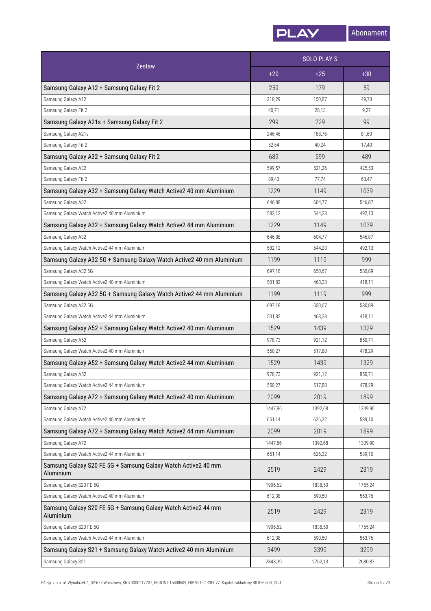

|                                                                            | <b>SOLO PLAYS</b> |         | Zestaw  |
|----------------------------------------------------------------------------|-------------------|---------|---------|
|                                                                            | $+20$             | $+25$   | $+30$   |
| Samsung Galaxy A12 + Samsung Galaxy Fit 2                                  | 259               | 179     | 59      |
| Samsung Galaxy A12                                                         | 218,29            | 150,87  | 49,73   |
| Samsung Galaxy Fit 2                                                       | 40,71             | 28,13   | 9,27    |
| Samsung Galaxy A21s + Samsung Galaxy Fit 2                                 | 299               | 229     | 99      |
| Samsung Galaxy A21s                                                        | 246,46            | 188,76  | 81,60   |
| Samsung Galaxy Fit 2                                                       | 52,54             | 40,24   | 17,40   |
| Samsung Galaxy A32 + Samsung Galaxy Fit 2                                  | 689               | 599     | 489     |
| Samsung Galaxy A32                                                         | 599,57            | 521,26  | 425,53  |
| Samsung Galaxy Fit 2                                                       | 89,43             | 77,74   | 63,47   |
| Samsung Galaxy A32 + Samsung Galaxy Watch Active2 40 mm Aluminium          | 1229              | 1149    | 1039    |
| Samsung Galaxy A32                                                         | 646,88            | 604,77  | 546,87  |
| Samsung Galaxy Watch Active2 40 mm Aluminium                               | 582,12            | 544,23  | 492,13  |
| Samsung Galaxy A32 + Samsung Galaxy Watch Active2 44 mm Aluminium          | 1229              | 1149    | 1039    |
| Samsung Galaxy A32                                                         | 646,88            | 604,77  | 546,87  |
| Samsung Galaxy Watch Active2 44 mm Aluminium                               | 582,12            | 544,23  | 492,13  |
| Samsung Galaxy A32 5G + Samsung Galaxy Watch Active2 40 mm Aluminium       | 1199              | 1119    | 999     |
| Samsung Galaxy A32 5G                                                      | 697,18            | 650,67  | 580,89  |
| Samsung Galaxy Watch Active2 40 mm Aluminium                               | 501,82            | 468,33  | 418,11  |
| Samsung Galaxy A32 5G + Samsung Galaxy Watch Active2 44 mm Aluminium       | 1199              | 1119    | 999     |
| Samsung Galaxy A32 5G                                                      | 697,18            | 650,67  | 580,89  |
| Samsung Galaxy Watch Active2 44 mm Aluminium                               | 501,82            | 468,33  | 418,11  |
| Samsung Galaxy A52 + Samsung Galaxy Watch Active2 40 mm Aluminium          | 1529              | 1439    | 1329    |
| Samsung Galaxy A52                                                         | 978,73            | 921,12  | 850,71  |
| Samsung Galaxy Watch Active2 40 mm Aluminium                               | 550,27            | 517,88  | 478,29  |
| Samsung Galaxy A52 + Samsung Galaxy Watch Active2 44 mm Aluminium          | 1529              | 1439    | 1329    |
| Samsung Galaxy A52                                                         | 978,73            | 921,12  | 850,71  |
| Samsung Galaxy Watch Active2 44 mm Aluminium                               | 550,27            | 517,88  | 478,29  |
| Samsung Galaxy A72 + Samsung Galaxy Watch Active2 40 mm Aluminium          | 2099              | 2019    | 1899    |
| Samsung Galaxy A72                                                         | 1447,86           | 1392,68 | 1309,90 |
| Samsung Galaxy Watch Active2 40 mm Aluminium                               | 651,14            | 626,32  | 589,10  |
| Samsung Galaxy A72 + Samsung Galaxy Watch Active2 44 mm Aluminium          | 2099              | 2019    | 1899    |
| Samsung Galaxy A72                                                         | 1447,86           | 1392,68 | 1309,90 |
| Samsung Galaxy Watch Active2 44 mm Aluminium                               | 651,14            | 626,32  | 589,10  |
| Samsung Galaxy S20 FE 5G + Samsung Galaxy Watch Active2 40 mm<br>Aluminium | 2519              | 2429    | 2319    |
| Samsung Galaxy S20 FE 5G                                                   | 1906,62           | 1838,50 | 1755,24 |
| Samsung Galaxy Watch Active2 40 mm Aluminium                               | 612,38            | 590,50  | 563,76  |
| Samsung Galaxy S20 FE 5G + Samsung Galaxy Watch Active2 44 mm<br>Aluminium | 2519              | 2429    | 2319    |
| Samsung Galaxy S20 FE 5G                                                   | 1906,62           | 1838,50 | 1755,24 |
| Samsung Galaxy Watch Active2 44 mm Aluminium                               | 612,38            | 590,50  | 563,76  |
| Samsung Galaxy S21 + Samsung Galaxy Watch Active2 40 mm Aluminium          | 3499              | 3399    | 3299    |
| Samsung Galaxy S21                                                         | 2843,39           | 2762,13 | 2680,87 |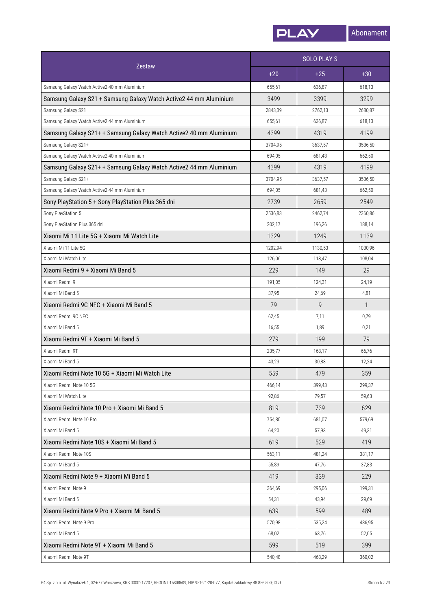

|                                                                    | <b>SOLO PLAYS</b> |         |              |
|--------------------------------------------------------------------|-------------------|---------|--------------|
| Zestaw                                                             | $+20$             | $+25$   | $+30$        |
| Samsung Galaxy Watch Active2 40 mm Aluminium                       | 655,61            | 636,87  | 618,13       |
| Samsung Galaxy S21 + Samsung Galaxy Watch Active2 44 mm Aluminium  | 3499              | 3399    | 3299         |
| Samsung Galaxy S21                                                 | 2843,39           | 2762,13 | 2680,87      |
| Samsung Galaxy Watch Active2 44 mm Aluminium                       | 655,61            | 636,87  | 618,13       |
| Samsung Galaxy S21+ + Samsung Galaxy Watch Active2 40 mm Aluminium | 4399              | 4319    | 4199         |
| Samsung Galaxy S21+                                                | 3704,95           | 3637,57 | 3536,50      |
| Samsung Galaxy Watch Active2 40 mm Aluminium                       | 694,05            | 681,43  | 662,50       |
| Samsung Galaxy S21+ + Samsung Galaxy Watch Active2 44 mm Aluminium | 4399              | 4319    | 4199         |
| Samsung Galaxy S21+                                                | 3704,95           | 3637,57 | 3536,50      |
| Samsung Galaxy Watch Active2 44 mm Aluminium                       | 694,05            | 681,43  | 662,50       |
| Sony PlayStation 5 + Sony PlayStation Plus 365 dni                 | 2739              | 2659    | 2549         |
| Sony PlayStation 5                                                 | 2536,83           | 2462,74 | 2360,86      |
| Sony PlayStation Plus 365 dni                                      | 202,17            | 196,26  | 188,14       |
| Xiaomi Mi 11 Lite 5G + Xiaomi Mi Watch Lite                        | 1329              | 1249    | 1139         |
| Xiaomi Mi 11 Lite 5G                                               | 1202,94           | 1130,53 | 1030,96      |
| Xiaomi Mi Watch Lite                                               | 126,06            | 118,47  | 108,04       |
| Xiaomi Redmi 9 + Xiaomi Mi Band 5                                  | 229               | 149     | 29           |
| Xiaomi Redmi 9                                                     | 191,05            | 124,31  | 24,19        |
| Xiaomi Mi Band 5                                                   | 37,95             | 24,69   | 4,81         |
| Xiaomi Redmi 9C NFC + Xiaomi Mi Band 5                             | 79                | 9       | $\mathbf{1}$ |
| Xiaomi Redmi 9C NFC                                                | 62,45             | 7,11    | 0,79         |
| Xiaomi Mi Band 5                                                   | 16,55             | 1,89    | 0,21         |
| Xiaomi Redmi 9T + Xiaomi Mi Band 5                                 | 279               | 199     | 79           |
| Xiaomi Redmi 9T                                                    | 235,77            | 168,17  | 66,76        |
| Xiaomi Mi Band 5                                                   | 43,23             | 30,83   | 12,24        |
| Xiaomi Redmi Note 10 5G + Xiaomi Mi Watch Lite                     | 559               | 479     | 359          |
| Xiaomi Redmi Note 10 5G                                            | 466,14            | 399,43  | 299,37       |
| Xiaomi Mi Watch Lite                                               | 92,86             | 79,57   | 59,63        |
| Xiaomi Redmi Note 10 Pro + Xiaomi Mi Band 5                        | 819               | 739     | 629          |
| Xiaomi Redmi Note 10 Pro                                           | 754,80            | 681,07  | 579,69       |
| Xiaomi Mi Band 5                                                   | 64,20             | 57,93   | 49,31        |
| Xiaomi Redmi Note 10S + Xiaomi Mi Band 5                           | 619               | 529     | 419          |
| Xiaomi Redmi Note 10S                                              | 563,11            | 481,24  | 381,17       |
| Xiaomi Mi Band 5                                                   | 55,89             | 47,76   | 37,83        |
| Xiaomi Redmi Note 9 + Xiaomi Mi Band 5                             | 419               | 339     | 229          |
| Xiaomi Redmi Note 9                                                | 364,69            | 295,06  | 199,31       |
| Xiaomi Mi Band 5                                                   | 54,31             | 43,94   | 29,69        |
| Xiaomi Redmi Note 9 Pro + Xiaomi Mi Band 5                         | 639               | 599     | 489          |
| Xiaomi Redmi Note 9 Pro                                            | 570,98            | 535,24  | 436,95       |
| Xiaomi Mi Band 5                                                   | 68,02             | 63,76   | 52,05        |
| Xiaomi Redmi Note 9T + Xiaomi Mi Band 5                            | 599               | 519     | 399          |
| Xiaomi Redmi Note 9T                                               | 540,48            | 468,29  | 360,02       |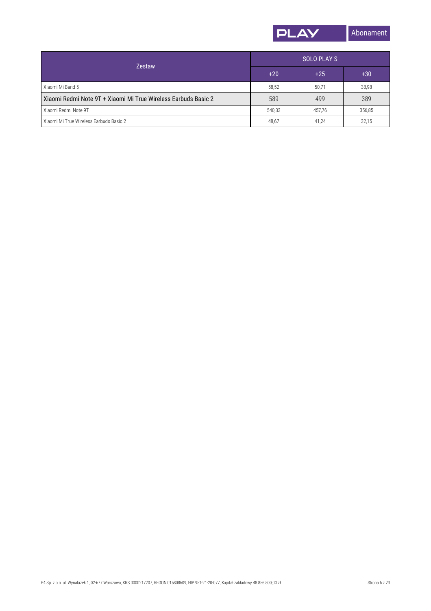

| <b>Zestaw</b>                                                  | SOLO PLAY S |        |        |
|----------------------------------------------------------------|-------------|--------|--------|
|                                                                | $+20$       | $+25$  | $+30$  |
| Xiaomi Mi Band 5                                               | 58,52       | 50,71  | 38,98  |
| Xiaomi Redmi Note 9T + Xiaomi Mi True Wireless Earbuds Basic 2 | 589         | 499    | 389    |
| Xiaomi Redmi Note 9T                                           | 540,33      | 457.76 | 356,85 |
| Xiaomi Mi True Wireless Earbuds Basic 2                        | 48,67       | 41,24  | 32,15  |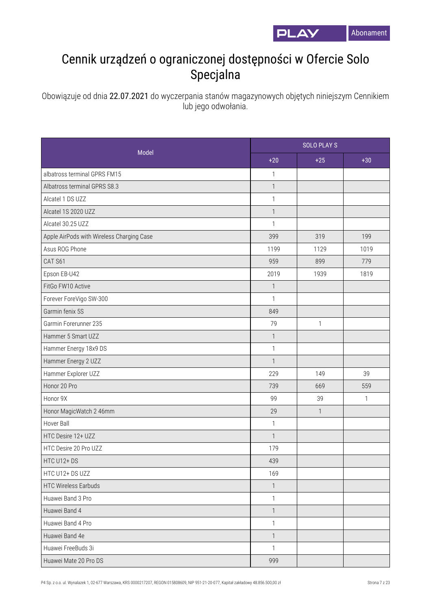

## Cennik urządzeń o ograniczonej dostępności w Ofercie Solo Specjalna

Obowiązuje od dnia 22.07.2021 do wyczerpania stanów magazynowych objętych niniejszym Cennikiem lub jego odwołania.

|                                           | <b>SOLO PLAY S</b> |              |              |
|-------------------------------------------|--------------------|--------------|--------------|
| Model                                     | $+20$              | $+25$        | $+30$        |
| albatross terminal GPRS FM15              | $\mathbf{1}$       |              |              |
| Albatross terminal GPRS S8.3              | $\mathbf{1}$       |              |              |
| Alcatel 1 DS UZZ                          | $\mathbf{1}$       |              |              |
| Alcatel 1S 2020 UZZ                       | $\mathbf{1}$       |              |              |
| Alcatel 30.25 UZZ                         | $\mathbf{1}$       |              |              |
| Apple AirPods with Wireless Charging Case | 399                | 319          | 199          |
| Asus ROG Phone                            | 1199               | 1129         | 1019         |
| CAT S61                                   | 959                | 899          | 779          |
| Epson EB-U42                              | 2019               | 1939         | 1819         |
| FitGo FW10 Active                         | $\mathbf{1}$       |              |              |
| Forever ForeVigo SW-300                   | $\mathbf{1}$       |              |              |
| Garmin fenix 5S                           | 849                |              |              |
| Garmin Forerunner 235                     | 79                 | $\mathbf{1}$ |              |
| Hammer 5 Smart UZZ                        | $\mathbf{1}$       |              |              |
| Hammer Energy 18x9 DS                     | $\mathbf{1}$       |              |              |
| Hammer Energy 2 UZZ                       | $\mathbf{1}$       |              |              |
| Hammer Explorer UZZ                       | 229                | 149          | 39           |
| Honor 20 Pro                              | 739                | 669          | 559          |
| Honor 9X                                  | 99                 | 39           | $\mathbf{1}$ |
| Honor MagicWatch 2 46mm                   | 29                 | $\mathbf{1}$ |              |
| Hover Ball                                | $\mathbf{1}$       |              |              |
| HTC Desire 12+ UZZ                        | $\mathbf{1}$       |              |              |
| HTC Desire 20 Pro UZZ                     | 179                |              |              |
| HTC U12+DS                                | 439                |              |              |
| HTC U12+ DS UZZ                           | 169                |              |              |
| <b>HTC Wireless Earbuds</b>               | $\overline{1}$     |              |              |
| Huawei Band 3 Pro                         | $\mathbf{1}$       |              |              |
| Huawei Band 4                             | $\overline{1}$     |              |              |
| Huawei Band 4 Pro                         | $\mathbf{1}$       |              |              |
| Huawei Band 4e                            | $\overline{1}$     |              |              |
| Huawei FreeBuds 3i                        | $\mathbf{1}$       |              |              |
| Huawei Mate 20 Pro DS                     | 999                |              |              |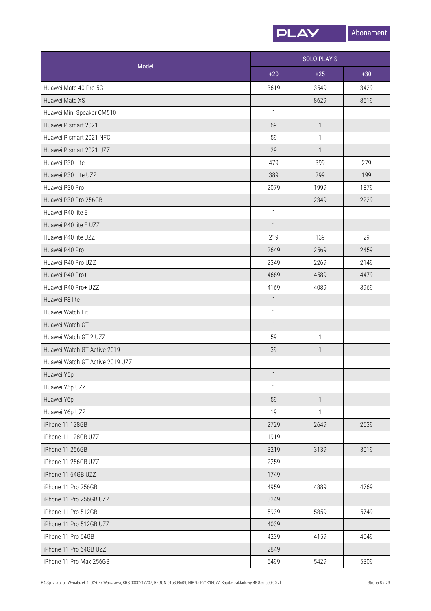

| Model                           | <b>SOLO PLAYS</b> |              |       |
|---------------------------------|-------------------|--------------|-------|
|                                 | $+20$             | $+25$        | $+30$ |
| Huawei Mate 40 Pro 5G           | 3619              | 3549         | 3429  |
| Huawei Mate XS                  |                   | 8629         | 8519  |
| Huawei Mini Speaker CM510       | $\mathbf{1}$      |              |       |
| Huawei P smart 2021             | 69                | $\mathbf{1}$ |       |
| Huawei P smart 2021 NFC         | 59                | 1            |       |
| Huawei P smart 2021 UZZ         | 29                | $\mathbf{1}$ |       |
| Huawei P30 Lite                 | 479               | 399          | 279   |
| Huawei P30 Lite UZZ             | 389               | 299          | 199   |
| Huawei P30 Pro                  | 2079              | 1999         | 1879  |
| Huawei P30 Pro 256GB            |                   | 2349         | 2229  |
| Huawei P40 lite E               | 1                 |              |       |
| Huawei P40 lite E UZZ           | $\mathbf{1}$      |              |       |
| Huawei P40 lite UZZ             | 219               | 139          | 29    |
| Huawei P40 Pro                  | 2649              | 2569         | 2459  |
| Huawei P40 Pro UZZ              | 2349              | 2269         | 2149  |
| Huawei P40 Pro+                 | 4669              | 4589         | 4479  |
| Huawei P40 Pro+ UZZ             | 4169              | 4089         | 3969  |
| Huawei P8 lite                  | $\mathbf{1}$      |              |       |
| Huawei Watch Fit                | $\mathbf{1}$      |              |       |
| Huawei Watch GT                 | $\mathbf{1}$      |              |       |
| Huawei Watch GT 2 UZZ           | 59                | $\mathbf{1}$ |       |
| Huawei Watch GT Active 2019     | 39                | $\mathbf{1}$ |       |
| Huawei Watch GT Active 2019 UZZ | 1                 |              |       |
| Huawei Y5p                      | $\mathbf{1}$      |              |       |
| Huawei Y5p UZZ                  | $\mathbf{1}$      |              |       |
| Huawei Y6p                      | 59                | $\mathbf{1}$ |       |
| Huawei Y6p UZZ                  | 19                | 1            |       |
| iPhone 11 128GB                 | 2729              | 2649         | 2539  |
| iPhone 11 128GB UZZ             | 1919              |              |       |
| iPhone 11 256GB                 | 3219              | 3139         | 3019  |
| iPhone 11 256GB UZZ             | 2259              |              |       |
| iPhone 11 64GB UZZ              | 1749              |              |       |
| iPhone 11 Pro 256GB             | 4959              | 4889         | 4769  |
| iPhone 11 Pro 256GB UZZ         | 3349              |              |       |
| iPhone 11 Pro 512GB             | 5939              | 5859         | 5749  |
| iPhone 11 Pro 512GB UZZ         | 4039              |              |       |
| iPhone 11 Pro 64GB              | 4239              | 4159         | 4049  |
| iPhone 11 Pro 64GB UZZ          | 2849              |              |       |
| iPhone 11 Pro Max 256GB         | 5499              | 5429         | 5309  |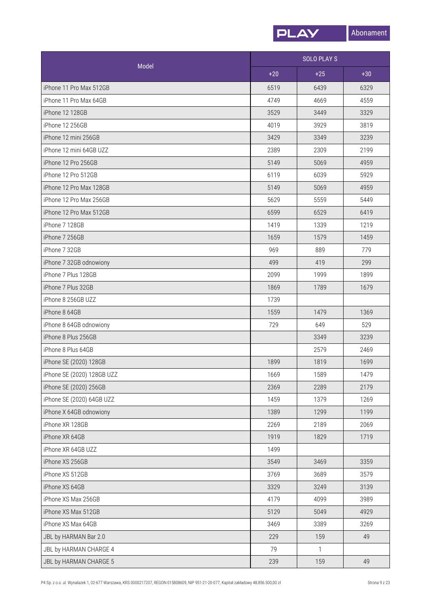

| Model                      |       | <b>SOLO PLAYS</b> |       |  |
|----------------------------|-------|-------------------|-------|--|
|                            | $+20$ | $+25$             | $+30$ |  |
| iPhone 11 Pro Max 512GB    | 6519  | 6439              | 6329  |  |
| iPhone 11 Pro Max 64GB     | 4749  | 4669              | 4559  |  |
| iPhone 12 128GB            | 3529  | 3449              | 3329  |  |
| iPhone 12 256GB            | 4019  | 3929              | 3819  |  |
| iPhone 12 mini 256GB       | 3429  | 3349              | 3239  |  |
| iPhone 12 mini 64GB UZZ    | 2389  | 2309              | 2199  |  |
| iPhone 12 Pro 256GB        | 5149  | 5069              | 4959  |  |
| iPhone 12 Pro 512GB        | 6119  | 6039              | 5929  |  |
| iPhone 12 Pro Max 128GB    | 5149  | 5069              | 4959  |  |
| iPhone 12 Pro Max 256GB    | 5629  | 5559              | 5449  |  |
| iPhone 12 Pro Max 512GB    | 6599  | 6529              | 6419  |  |
| iPhone 7 128GB             | 1419  | 1339              | 1219  |  |
| iPhone 7 256GB             | 1659  | 1579              | 1459  |  |
| iPhone 7 32GB              | 969   | 889               | 779   |  |
| iPhone 7 32GB odnowiony    | 499   | 419               | 299   |  |
| iPhone 7 Plus 128GB        | 2099  | 1999              | 1899  |  |
| iPhone 7 Plus 32GB         | 1869  | 1789              | 1679  |  |
| iPhone 8 256GB UZZ         | 1739  |                   |       |  |
| iPhone 8 64GB              | 1559  | 1479              | 1369  |  |
| iPhone 8 64GB odnowiony    | 729   | 649               | 529   |  |
| iPhone 8 Plus 256GB        |       | 3349              | 3239  |  |
| iPhone 8 Plus 64GB         |       | 2579              | 2469  |  |
| iPhone SE (2020) 128GB     | 1899  | 1819              | 1699  |  |
| iPhone SE (2020) 128GB UZZ | 1669  | 1589              | 1479  |  |
| iPhone SE (2020) 256GB     | 2369  | 2289              | 2179  |  |
| iPhone SE (2020) 64GB UZZ  | 1459  | 1379              | 1269  |  |
| iPhone X 64GB odnowiony    | 1389  | 1299              | 1199  |  |
| iPhone XR 128GB            | 2269  | 2189              | 2069  |  |
| iPhone XR 64GB             | 1919  | 1829              | 1719  |  |
| iPhone XR 64GB UZZ         | 1499  |                   |       |  |
| iPhone XS 256GB            | 3549  | 3469              | 3359  |  |
| iPhone XS 512GB            | 3769  | 3689              | 3579  |  |
| iPhone XS 64GB             | 3329  | 3249              | 3139  |  |
| iPhone XS Max 256GB        | 4179  | 4099              | 3989  |  |
| iPhone XS Max 512GB        | 5129  | 5049              | 4929  |  |
| iPhone XS Max 64GB         | 3469  | 3389              | 3269  |  |
| JBL by HARMAN Bar 2.0      | 229   | 159               | 49    |  |
| JBL by HARMAN CHARGE 4     | 79    | $\mathbf{1}$      |       |  |
| JBL by HARMAN CHARGE 5     | 239   | 159               | 49    |  |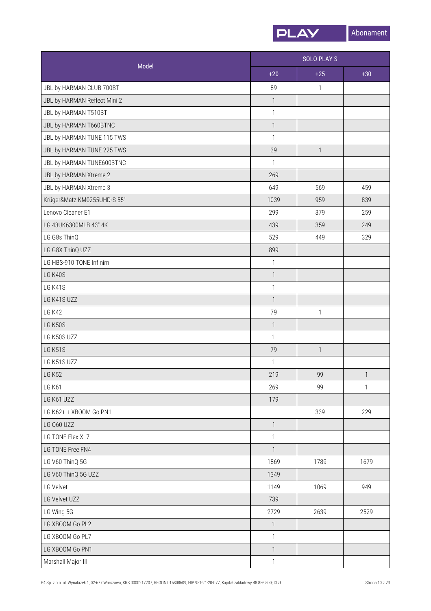

|                              | <b>SOLO PLAY S</b>       |              |              |
|------------------------------|--------------------------|--------------|--------------|
| Model                        | $+20$                    | $+25$        | $+30$        |
| JBL by HARMAN CLUB 700BT     | 89                       | 1            |              |
| JBL by HARMAN Reflect Mini 2 | $\mathbf{1}$             |              |              |
| JBL by HARMAN T510BT         | $\mathbf{1}$             |              |              |
| JBL by HARMAN T660BTNC       | $\overline{\phantom{a}}$ |              |              |
| JBL by HARMAN TUNE 115 TWS   | $\mathbf{1}$             |              |              |
| JBL by HARMAN TUNE 225 TWS   | 39                       | $\mathbf{1}$ |              |
| JBL by HARMAN TUNE600BTNC    | $\mathbf{1}$             |              |              |
| JBL by HARMAN Xtreme 2       | 269                      |              |              |
| JBL by HARMAN Xtreme 3       | 649                      | 569          | 459          |
| Krüger&Matz KM0255UHD-S 55"  | 1039                     | 959          | 839          |
| Lenovo Cleaner E1            | 299                      | 379          | 259          |
| LG 43UK6300MLB 43" 4K        | 439                      | 359          | 249          |
| LG G8s ThinQ                 | 529                      | 449          | 329          |
| LG G8X ThinQ UZZ             | 899                      |              |              |
| LG HBS-910 TONE Infinim      | $\mathbf{1}$             |              |              |
| LG K40S                      | $\mathbf{1}$             |              |              |
| LG K41S                      | $\mathbf{1}$             |              |              |
| LG K41S UZZ                  | $\mathbf{1}$             |              |              |
| <b>LG K42</b>                | 79                       | $\mathbf{1}$ |              |
| <b>LG K50S</b>               | $\mathbf{1}$             |              |              |
| LG K50S UZZ                  | $\mathbf{1}$             |              |              |
| <b>LG K51S</b>               | 79                       | $\mathbf{1}$ |              |
| LG K51S UZZ                  | $\mathbf{1}$             |              |              |
| <b>LG K52</b>                | 219                      | 99           | 1            |
| <b>LG K61</b>                | 269                      | 99           | $\mathbf{1}$ |
| LG K61 UZZ                   | 179                      |              |              |
| LG K62+ + XBOOM Go PN1       |                          | 339          | 229          |
| LG Q60 UZZ                   | $\overline{1}$           |              |              |
| LG TONE Flex XL7             | $\mathbf{1}$             |              |              |
| LG TONE Free FN4             | $\overline{1}$           |              |              |
| LG V60 ThinQ 5G              | 1869                     | 1789         | 1679         |
| LG V60 ThinQ 5G UZZ          | 1349                     |              |              |
| LG Velvet                    | 1149                     | 1069         | 949          |
| LG Velvet UZZ                | 739                      |              |              |
| LG Wing 5G                   | 2729                     | 2639         | 2529         |
| LG XBOOM Go PL2              | $\mathbf{1}$             |              |              |
| LG XBOOM Go PL7              | $\mathbf{1}$             |              |              |
| LG XBOOM Go PN1              | $\mathbf{1}$             |              |              |
| Marshall Major III           | $\mathbf{1}$             |              |              |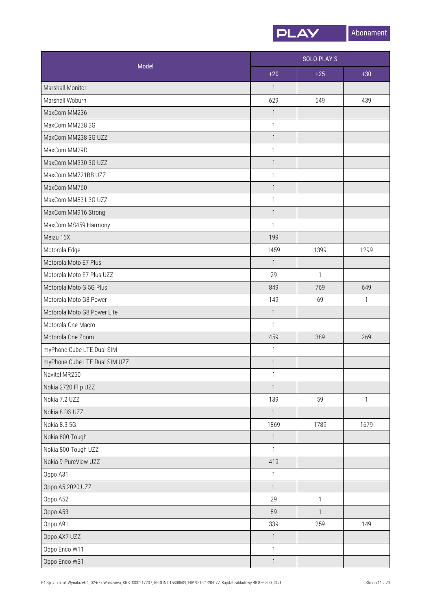

| Model                         | <b>SOLO PLAY S</b>        |              |              |
|-------------------------------|---------------------------|--------------|--------------|
|                               | $+20$                     | $+25$        | $+30$        |
| Marshall Monitor              | $\mathbf{1}$              |              |              |
| Marshall Woburn               | 629                       | 549          | 439          |
| MaxCom MM236                  | $\ensuremath{\mathsf{1}}$ |              |              |
| MaxCom MM238 3G               | $\mathbf{1}$              |              |              |
| MaxCom MM238 3G UZZ           | $\mathbf{1}$              |              |              |
| MaxCom MM29D                  | $\mathbf{1}$              |              |              |
| MaxCom MM330 3G UZZ           | $\ensuremath{\mathsf{1}}$ |              |              |
| MaxCom MM721BB UZZ            | $\mathbf{1}$              |              |              |
| MaxCom MM760                  | $\mathbf{1}$              |              |              |
| MaxCom MM831 3G UZZ           | $\mathbf{1}$              |              |              |
| MaxCom MM916 Strong           | $\mathbf{1}$              |              |              |
| MaxCom MS459 Harmony          | $\mathbf{1}$              |              |              |
| Meizu 16X                     | 199                       |              |              |
| Motorola Edge                 | 1459                      | 1399         | 1299         |
| Motorola Moto E7 Plus         | $\mathbf{1}$              |              |              |
| Motorola Moto E7 Plus UZZ     | 29                        | $\mathbf{1}$ |              |
| Motorola Moto G 5G Plus       | 849                       | 769          | 649          |
| Motorola Moto G8 Power        | 149                       | 69           | 1            |
| Motorola Moto G8 Power Lite   | $\mathbf{1}$              |              |              |
| Motorola One Macro            | $\mathbf{1}$              |              |              |
| Motorola One Zoom             | 459                       | 389          | 269          |
| myPhone Cube LTE Dual SIM     | $\ensuremath{\mathsf{1}}$ |              |              |
| myPhone Cube LTE Dual SIM UZZ | $\mathbf{1}$              |              |              |
| Navitel MR250                 | $\ensuremath{\mathsf{1}}$ |              |              |
| Nokia 2720 Flip UZZ           | $\mathbf{1}$              |              |              |
| Nokia 7.2 UZZ                 | 139                       | 59           | $\mathbf{1}$ |
| Nokia 8 DS UZZ                | $\mathbf{1}$              |              |              |
| Nokia 8.3 5G                  | 1869                      | 1789         | 1679         |
| Nokia 800 Tough               | $\overline{1}$            |              |              |
| Nokia 800 Tough UZZ           | $\mathbf{1}$              |              |              |
| Nokia 9 PureView UZZ          | 419                       |              |              |
| Oppo A31                      | $\mathbf{1}$              |              |              |
| Oppo A5 2020 UZZ              | $\mathbf{1}$              |              |              |
| Oppo A52                      | 29                        | 1            |              |
| Oppo A53                      | 89                        | 1            |              |
| Oppo A91                      | 339                       | 259          | 149          |
| Oppo AX7 UZZ                  | $\ensuremath{\mathsf{1}}$ |              |              |
| Oppo Enco W11                 | $\mathbf{1}$              |              |              |
| Oppo Enco W31                 | $\mathbf{1}$              |              |              |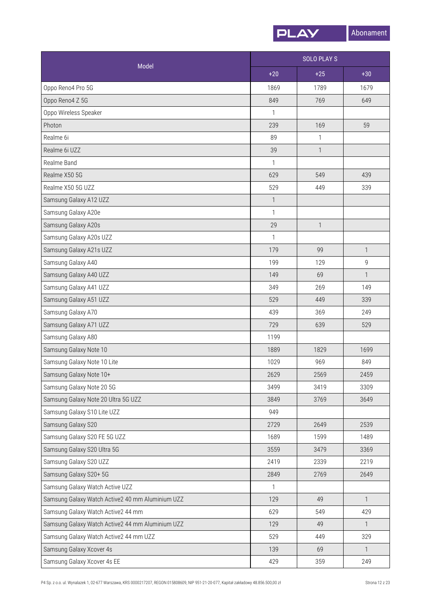

| Model                                            | <b>SOLO PLAY S</b> |              |              |
|--------------------------------------------------|--------------------|--------------|--------------|
|                                                  | $+20$              | $+25$        | $+30$        |
| Oppo Reno4 Pro 5G                                | 1869               | 1789         | 1679         |
| Oppo Reno4 Z 5G                                  | 849                | 769          | 649          |
| Oppo Wireless Speaker                            | 1                  |              |              |
| Photon                                           | 239                | 169          | 59           |
| Realme 6i                                        | 89                 | $\mathbf{1}$ |              |
| Realme 6i UZZ                                    | 39                 | $\mathbf{1}$ |              |
| Realme Band                                      | 1                  |              |              |
| Realme X50 5G                                    | 629                | 549          | 439          |
| Realme X50 5G UZZ                                | 529                | 449          | 339          |
| Samsung Galaxy A12 UZZ                           | $\mathbf{1}$       |              |              |
| Samsung Galaxy A20e                              | 1                  |              |              |
| Samsung Galaxy A20s                              | 29                 | 1            |              |
| Samsung Galaxy A20s UZZ                          | 1                  |              |              |
| Samsung Galaxy A21s UZZ                          | 179                | 99           | $\mathbf{1}$ |
| Samsung Galaxy A40                               | 199                | 129          | 9            |
| Samsung Galaxy A40 UZZ                           | 149                | 69           | $\mathbf{1}$ |
| Samsung Galaxy A41 UZZ                           | 349                | 269          | 149          |
| Samsung Galaxy A51 UZZ                           | 529                | 449          | 339          |
| Samsung Galaxy A70                               | 439                | 369          | 249          |
| Samsung Galaxy A71 UZZ                           | 729                | 639          | 529          |
| Samsung Galaxy A80                               | 1199               |              |              |
| Samsung Galaxy Note 10                           | 1889               | 1829         | 1699         |
| Samsung Galaxy Note 10 Lite                      | 1029               | 969          | 849          |
| Samsung Galaxy Note 10+                          | 2629               | 2569         | 2459         |
| Samsung Galaxy Note 20 5G                        | 3499               | 3419         | 3309         |
| Samsung Galaxy Note 20 Ultra 5G UZZ              | 3849               | 3769         | 3649         |
| Samsung Galaxy S10 Lite UZZ                      | 949                |              |              |
| Samsung Galaxy S20                               | 2729               | 2649         | 2539         |
| Samsung Galaxy S20 FE 5G UZZ                     | 1689               | 1599         | 1489         |
| Samsung Galaxy S20 Ultra 5G                      | 3559               | 3479         | 3369         |
| Samsung Galaxy S20 UZZ                           | 2419               | 2339         | 2219         |
| Samsung Galaxy S20+ 5G                           | 2849               | 2769         | 2649         |
| Samsung Galaxy Watch Active UZZ                  | 1                  |              |              |
| Samsung Galaxy Watch Active2 40 mm Aluminium UZZ | 129                | 49           | $\mathbf{1}$ |
| Samsung Galaxy Watch Active2 44 mm               | 629                | 549          | 429          |
| Samsung Galaxy Watch Active2 44 mm Aluminium UZZ | 129                | 49           | $\mathbf{1}$ |
| Samsung Galaxy Watch Active2 44 mm UZZ           | 529                | 449          | 329          |
| Samsung Galaxy Xcover 4s                         | 139                | 69           | $\mathbf{1}$ |
| Samsung Galaxy Xcover 4s EE                      | 429                | 359          | 249          |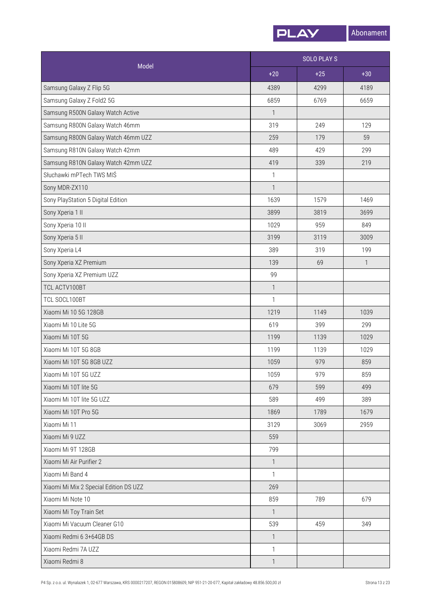

| Model                                  | <b>SOLO PLAYS</b> |       |              |
|----------------------------------------|-------------------|-------|--------------|
|                                        | $+20$             | $+25$ | $+30$        |
| Samsung Galaxy Z Flip 5G               | 4389              | 4299  | 4189         |
| Samsung Galaxy Z Fold2 5G              | 6859              | 6769  | 6659         |
| Samsung R500N Galaxy Watch Active      | $\mathbf{1}$      |       |              |
| Samsung R800N Galaxy Watch 46mm        | 319               | 249   | 129          |
| Samsung R800N Galaxy Watch 46mm UZZ    | 259               | 179   | 59           |
| Samsung R810N Galaxy Watch 42mm        | 489               | 429   | 299          |
| Samsung R810N Galaxy Watch 42mm UZZ    | 419               | 339   | 219          |
| Słuchawki mPTech TWS MIŚ               | $\mathbf{1}$      |       |              |
| Sony MDR-ZX110                         | $\mathbf{1}$      |       |              |
| Sony PlayStation 5 Digital Edition     | 1639              | 1579  | 1469         |
| Sony Xperia 1 II                       | 3899              | 3819  | 3699         |
| Sony Xperia 10 II                      | 1029              | 959   | 849          |
| Sony Xperia 5 II                       | 3199              | 3119  | 3009         |
| Sony Xperia L4                         | 389               | 319   | 199          |
| Sony Xperia XZ Premium                 | 139               | 69    | $\mathbf{1}$ |
| Sony Xperia XZ Premium UZZ             | 99                |       |              |
| TCL ACTV100BT                          | $\mathbf{1}$      |       |              |
| TCL SOCL100BT                          | $\mathbf{1}$      |       |              |
| Xiaomi Mi 10 5G 128GB                  | 1219              | 1149  | 1039         |
| Xiaomi Mi 10 Lite 5G                   | 619               | 399   | 299          |
| Xiaomi Mi 10T 5G                       | 1199              | 1139  | 1029         |
| Xiaomi Mi 10T 5G 8GB                   | 1199              | 1139  | 1029         |
| Xiaomi Mi 10T 5G 8GB UZZ               | 1059              | 979   | 859          |
| Xiaomi Mi 10T 5G UZZ                   | 1059              | 979   | 859          |
| Xiaomi Mi 10T lite 5G                  | 679               | 599   | 499          |
| Xiaomi Mi 10T lite 5G UZZ              | 589               | 499   | 389          |
| Xiaomi Mi 10T Pro 5G                   | 1869              | 1789  | 1679         |
| Xiaomi Mi 11                           | 3129              | 3069  | 2959         |
| Xiaomi Mi 9 UZZ                        | 559               |       |              |
| Xiaomi Mi 9T 128GB                     | 799               |       |              |
| Xiaomi Mi Air Purifier 2               | $\mathbf{1}$      |       |              |
| Xiaomi Mi Band 4                       | $\mathbf{1}$      |       |              |
| Xiaomi Mi Mix 2 Special Edition DS UZZ | 269               |       |              |
| Xiaomi Mi Note 10                      | 859               | 789   | 679          |
| Xiaomi Mi Toy Train Set                | $\mathbf{1}$      |       |              |
| Xiaomi Mi Vacuum Cleaner G10           | 539               | 459   | 349          |
| Xiaomi Redmi 6 3+64GB DS               | $\mathbf{1}$      |       |              |
| Xiaomi Redmi 7A UZZ                    | $\mathbf{1}$      |       |              |
| Xiaomi Redmi 8                         | $\mathbf{1}$      |       |              |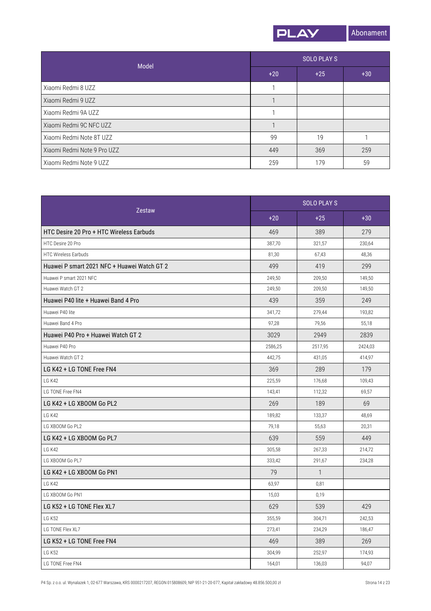

| Model                       | <b>SOLO PLAY S</b> |       |       |
|-----------------------------|--------------------|-------|-------|
|                             | $+20$              | $+25$ | $+30$ |
| Xiaomi Redmi 8 UZZ          |                    |       |       |
| Xiaomi Redmi 9 UZZ          |                    |       |       |
| Xiaomi Redmi 9A UZZ         |                    |       |       |
| Xiaomi Redmi 9C NFC UZZ     |                    |       |       |
| Xiaomi Redmi Note 8T UZZ    | 99                 | 19    |       |
| Xiaomi Redmi Note 9 Pro UZZ | 449                | 369   | 259   |
| Xiaomi Redmi Note 9 UZZ     | 259                | 179   | 59    |

| Zestaw                                      | <b>SOLO PLAY S</b> |              |         |
|---------------------------------------------|--------------------|--------------|---------|
|                                             | $+20$              | $+25$        | $+30$   |
| HTC Desire 20 Pro + HTC Wireless Earbuds    | 469                | 389          | 279     |
| HTC Desire 20 Pro                           | 387,70             | 321,57       | 230,64  |
| <b>HTC Wireless Earbuds</b>                 | 81,30              | 67,43        | 48,36   |
| Huawei P smart 2021 NFC + Huawei Watch GT 2 | 499                | 419          | 299     |
| Huawei P smart 2021 NFC                     | 249,50             | 209,50       | 149,50  |
| Huawei Watch GT 2                           | 249,50             | 209,50       | 149,50  |
| Huawei P40 lite + Huawei Band 4 Pro         | 439                | 359          | 249     |
| Huawei P40 lite                             | 341,72             | 279,44       | 193,82  |
| Huawei Band 4 Pro                           | 97,28              | 79,56        | 55,18   |
| Huawei P40 Pro + Huawei Watch GT 2          | 3029               | 2949         | 2839    |
| Huawei P40 Pro                              | 2586,25            | 2517,95      | 2424,03 |
| Huawei Watch GT 2                           | 442,75             | 431,05       | 414,97  |
| LG K42 + LG TONE Free FN4                   | 369                | 289          | 179     |
| LG K42                                      | 225,59             | 176,68       | 109,43  |
| LG TONE Free FN4                            | 143,41             | 112,32       | 69,57   |
| LG K42 + LG XBOOM Go PL2                    | 269                | 189          | 69      |
| LG K42                                      | 189,82             | 133,37       | 48,69   |
| LG XBOOM Go PL2                             | 79,18              | 55,63        | 20,31   |
| LG K42 + LG XBOOM Go PL7                    | 639                | 559          | 449     |
| LG K42                                      | 305,58             | 267,33       | 214,72  |
| LG XBOOM Go PL7                             | 333,42             | 291,67       | 234,28  |
| LG K42 + LG XBOOM Go PN1                    | 79                 | $\mathbf{1}$ |         |
| LG K42                                      | 63,97              | 0,81         |         |
| LG XBOOM Go PN1                             | 15,03              | 0,19         |         |
| LG K52 + LG TONE Flex XL7                   | 629                | 539          | 429     |
| <b>LG K52</b>                               | 355,59             | 304,71       | 242,53  |
| LG TONE Flex XL7                            | 273,41             | 234,29       | 186,47  |
| LG K52 + LG TONE Free FN4                   | 469                | 389          | 269     |
| <b>LG K52</b>                               | 304,99             | 252,97       | 174,93  |
| LG TONE Free FN4                            | 164,01             | 136,03       | 94,07   |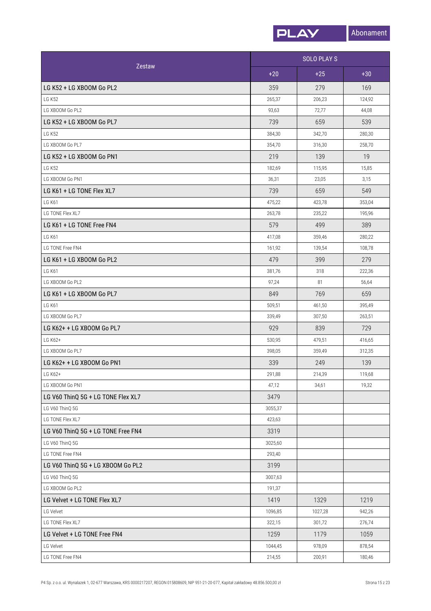

| Zestaw                             |         | <b>SOLO PLAYS</b> |        |  |
|------------------------------------|---------|-------------------|--------|--|
|                                    | $+20$   | $+25$             | $+30$  |  |
| LG K52 + LG XBOOM Go PL2           | 359     | 279               | 169    |  |
| <b>LG K52</b>                      | 265,37  | 206,23            | 124,92 |  |
| LG XBOOM Go PL2                    | 93,63   | 72,77             | 44,08  |  |
| LG K52 + LG XBOOM Go PL7           | 739     | 659               | 539    |  |
| <b>LG K52</b>                      | 384,30  | 342,70            | 280,30 |  |
| LG XBOOM Go PL7                    | 354,70  | 316,30            | 258,70 |  |
| LG K52 + LG XBOOM Go PN1           | 219     | 139               | 19     |  |
| <b>LG K52</b>                      | 182,69  | 115,95            | 15,85  |  |
| LG XBOOM Go PN1                    | 36,31   | 23,05             | 3,15   |  |
| LG K61 + LG TONE Flex XL7          | 739     | 659               | 549    |  |
| <b>LG K61</b>                      | 475,22  | 423,78            | 353,04 |  |
| LG TONE Flex XL7                   | 263,78  | 235,22            | 195,96 |  |
| LG K61 + LG TONE Free FN4          | 579     | 499               | 389    |  |
| <b>LG K61</b>                      | 417,08  | 359,46            | 280,22 |  |
| LG TONE Free FN4                   | 161,92  | 139,54            | 108,78 |  |
| LG K61 + LG XBOOM Go PL2           | 479     | 399               | 279    |  |
| <b>LG K61</b>                      | 381,76  | 318               | 222,36 |  |
| LG XBOOM Go PL2                    | 97,24   | 81                | 56,64  |  |
| LG K61 + LG XBOOM Go PL7           | 849     | 769               | 659    |  |
| <b>LG K61</b>                      | 509,51  | 461,50            | 395,49 |  |
| LG XBOOM Go PL7                    | 339,49  | 307,50            | 263,51 |  |
| LG K62+ + LG XBOOM Go PL7          | 929     | 839               | 729    |  |
| LG K62+                            | 530,95  | 479,51            | 416.65 |  |
| LG XBOOM Go PL7                    | 398,05  | 359,49            | 312,35 |  |
| LG K62+ + LG XBOOM Go PN1          | 339     | 249               | 139    |  |
| LG K62+                            | 291,88  | 214,39            | 119,68 |  |
| LG XBOOM Go PN1                    | 47,12   | 34,61             | 19,32  |  |
| LG V60 ThinQ 5G + LG TONE Flex XL7 | 3479    |                   |        |  |
| LG V60 ThinQ 5G                    | 3055,37 |                   |        |  |
| LG TONE Flex XL7                   | 423,63  |                   |        |  |
| LG V60 ThinQ 5G + LG TONE Free FN4 | 3319    |                   |        |  |
| LG V60 ThinQ 5G                    | 3025,60 |                   |        |  |
| LG TONE Free FN4                   | 293,40  |                   |        |  |
| LG V60 ThinQ 5G + LG XBOOM Go PL2  | 3199    |                   |        |  |
| LG V60 ThinQ 5G                    | 3007,63 |                   |        |  |
| LG XBOOM Go PL2                    | 191,37  |                   |        |  |
| LG Velvet + LG TONE Flex XL7       | 1419    | 1329              | 1219   |  |
| LG Velvet                          | 1096,85 | 1027,28           | 942,26 |  |
| LG TONE Flex XL7                   | 322,15  | 301,72            | 276,74 |  |
| LG Velvet + LG TONE Free FN4       | 1259    | 1179              | 1059   |  |
| LG Velvet                          | 1044,45 | 978,09            | 878,54 |  |
| LG TONE Free FN4                   | 214,55  | 200,91            | 180,46 |  |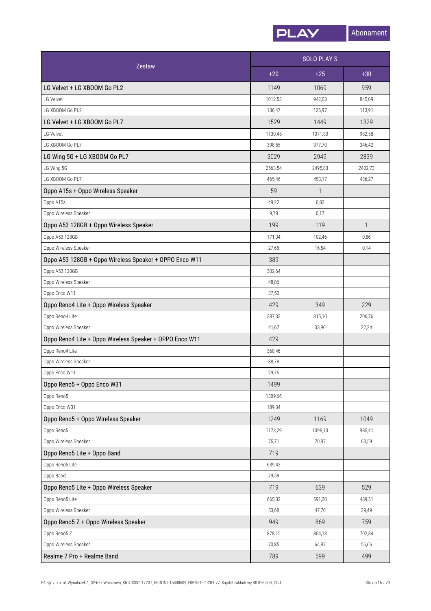

| Zestaw                                                  |         | <b>SOLO PLAYS</b> |              |  |
|---------------------------------------------------------|---------|-------------------|--------------|--|
|                                                         | $+20$   | $+25$             | $+30$        |  |
| LG Velvet + LG XBOOM Go PL2                             | 1149    | 1069              | 959          |  |
| LG Velvet                                               | 1012,53 | 942,03            | 845,09       |  |
| LG XBOOM Go PL2                                         | 136,47  | 126,97            | 113,91       |  |
| LG Velvet + LG XBOOM Go PL7                             | 1529    | 1449              | 1329         |  |
| LG Velvet                                               | 1130,45 | 1071,30           | 982,58       |  |
| LG XBOOM Go PL7                                         | 398,55  | 377,70            | 346,42       |  |
| LG Wing 5G + LG XBOOM Go PL7                            | 3029    | 2949              | 2839         |  |
| LG Wing 5G                                              | 2563,54 | 2495,83           | 2402,73      |  |
| LG XBOOM Go PL7                                         | 465,46  | 453,17            | 436,27       |  |
| Oppo A15s + Oppo Wireless Speaker                       | 59      | 1                 |              |  |
| Oppo A15s                                               | 49,22   | 0,83              |              |  |
| Oppo Wireless Speaker                                   | 9,78    | 0,17              |              |  |
| Oppo A53 128GB + Oppo Wireless Speaker                  | 199     | 119               | $\mathbf{1}$ |  |
| Oppo A53 128GB                                          | 171,34  | 102,46            | 0,86         |  |
| Oppo Wireless Speaker                                   | 27,66   | 16,54             | 0,14         |  |
| Oppo A53 128GB + Oppo Wireless Speaker + OPPO Enco W11  | 389     |                   |              |  |
| Oppo A53 128GB                                          | 302,64  |                   |              |  |
| Oppo Wireless Speaker                                   | 48,86   |                   |              |  |
| Oppo Enco W11                                           | 37,50   |                   |              |  |
| Oppo Reno4 Lite + Oppo Wireless Speaker                 | 429     | 349               | 229          |  |
| Oppo Reno4 Lite                                         | 387,33  | 315,10            | 206,76       |  |
| Oppo Wireless Speaker                                   | 41,67   | 33,90             | 22,24        |  |
| Oppo Reno4 Lite + Oppo Wireless Speaker + OPPO Enco W11 | 429     |                   |              |  |
| Oppo Reno4 Lite                                         | 360,46  |                   |              |  |
| Oppo Wireless Speaker                                   | 38,78   |                   |              |  |
| Oppo Enco W11                                           | 29,76   |                   |              |  |
| Oppo Reno5 + Oppo Enco W31                              | 1499    |                   |              |  |
| Oppo Reno5                                              | 1309,66 |                   |              |  |
| Oppo Enco W31                                           | 189,34  |                   |              |  |
| Oppo Reno5 + Oppo Wireless Speaker                      | 1249    | 1169              | 1049         |  |
| Oppo Reno5                                              | 1173,29 | 1098,13           | 985,41       |  |
| Oppo Wireless Speaker                                   | 75,71   | 70,87             | 63,59        |  |
| Oppo Reno5 Lite + Oppo Band                             | 719     |                   |              |  |
| Oppo Reno5 Lite                                         | 639,42  |                   |              |  |
| Oppo Band                                               | 79,58   |                   |              |  |
| Oppo Reno5 Lite + Oppo Wireless Speaker                 | 719     | 639               | 529          |  |
| Oppo Reno5 Lite                                         | 665,32  | 591,30            | 489,51       |  |
| Oppo Wireless Speaker                                   | 53,68   | 47,70             | 39,49        |  |
| Oppo Reno5 Z + Oppo Wireless Speaker                    | 949     | 869               | 759          |  |
| Oppo Reno5 Z                                            | 878,15  | 804,13            | 702,34       |  |
| Oppo Wireless Speaker                                   | 70,85   | 64,87             | 56,66        |  |
| Realme 7 Pro + Realme Band                              | 789     | 599               | 499          |  |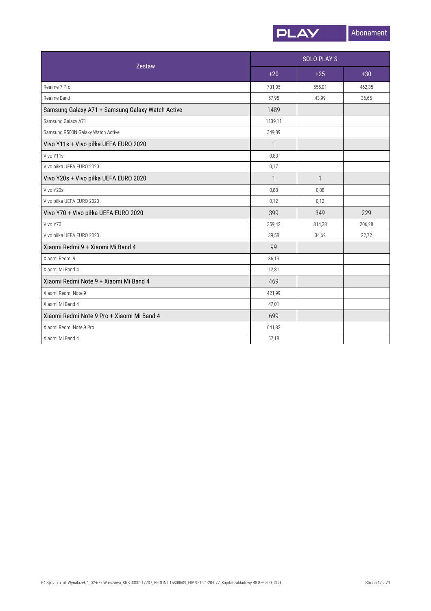![](_page_16_Picture_0.jpeg)

| <b>Zestaw</b>                                    |              | <b>SOLO PLAYS</b> |        |  |
|--------------------------------------------------|--------------|-------------------|--------|--|
|                                                  | $+20$        | $+25$             | $+30$  |  |
| Realme 7 Pro                                     | 731,05       | 555,01            | 462,35 |  |
| Realme Band                                      | 57,95        | 43,99             | 36,65  |  |
| Samsung Galaxy A71 + Samsung Galaxy Watch Active | 1489         |                   |        |  |
| Samsung Galaxy A71                               | 1139,11      |                   |        |  |
| Samsung R500N Galaxy Watch Active                | 349,89       |                   |        |  |
| Vivo Y11s + Vivo piłka UEFA EURO 2020            | $\mathbf{1}$ |                   |        |  |
| Vivo Y11s                                        | 0,83         |                   |        |  |
| Vivo piłka UEFA EURO 2020                        | 0,17         |                   |        |  |
| Vivo Y20s + Vivo piłka UEFA EURO 2020            | $\mathbf{1}$ | $\mathbf{1}$      |        |  |
| Vivo Y20s                                        | 0,88         | 0,88              |        |  |
| Vivo piłka UEFA EURO 2020                        | 0,12         | 0,12              |        |  |
| Vivo Y70 + Vivo piłka UEFA EURO 2020             | 399          | 349               | 229    |  |
| Vivo Y70                                         | 359,42       | 314,38            | 206,28 |  |
| Vivo piłka UEFA EURO 2020                        | 39,58        | 34,62             | 22,72  |  |
| Xiaomi Redmi 9 + Xiaomi Mi Band 4                | 99           |                   |        |  |
| Xiaomi Redmi 9                                   | 86,19        |                   |        |  |
| Xiaomi Mi Band 4                                 | 12,81        |                   |        |  |
| Xiaomi Redmi Note 9 + Xiaomi Mi Band 4           | 469          |                   |        |  |
| Xiaomi Redmi Note 9                              | 421,99       |                   |        |  |
| Xiaomi Mi Band 4                                 | 47,01        |                   |        |  |
| Xiaomi Redmi Note 9 Pro + Xiaomi Mi Band 4       | 699          |                   |        |  |
| Xiaomi Redmi Note 9 Pro                          | 641,82       |                   |        |  |
| Xiaomi Mi Band 4                                 | 57,18        |                   |        |  |
|                                                  |              |                   |        |  |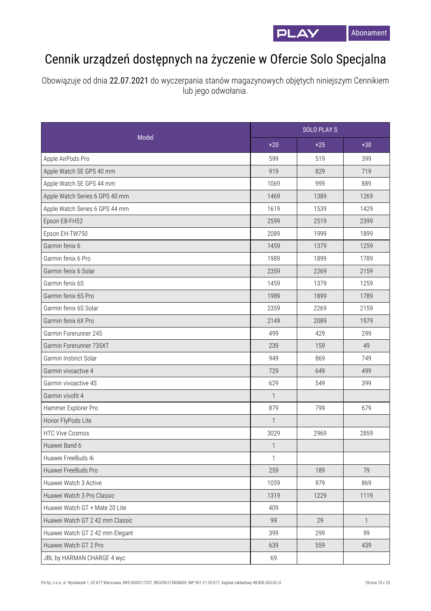![](_page_17_Picture_0.jpeg)

## Cennik urządzeń dostępnych na życzenie w Ofercie Solo Specjalna

Obowiązuje od dnia 22.07.2021 do wyczerpania stanów magazynowych objętych niniejszym Cennikiem lub jego odwołania.

| Model                           |              | <b>SOLO PLAYS</b> |              |  |
|---------------------------------|--------------|-------------------|--------------|--|
|                                 | $+20$        | $+25$             | $+30$        |  |
| Apple AirPods Pro               | 599          | 519               | 399          |  |
| Apple Watch SE GPS 40 mm        | 919          | 829               | 719          |  |
| Apple Watch SE GPS 44 mm        | 1069         | 999               | 889          |  |
| Apple Watch Series 6 GPS 40 mm  | 1469         | 1389              | 1269         |  |
| Apple Watch Series 6 GPS 44 mm  | 1619         | 1539              | 1429         |  |
| Epson EB-FH52                   | 2599         | 2519              | 2399         |  |
| Epson EH-TW750                  | 2089         | 1999              | 1899         |  |
| Garmin fenix 6                  | 1459         | 1379              | 1259         |  |
| Garmin fenix 6 Pro              | 1989         | 1899              | 1789         |  |
| Garmin fenix 6 Solar            | 2359         | 2269              | 2159         |  |
| Garmin fenix 6S                 | 1459         | 1379              | 1259         |  |
| Garmin fenix 6S Pro             | 1989         | 1899              | 1789         |  |
| Garmin fenix 6S Solar           | 2359         | 2269              | 2159         |  |
| Garmin fenix 6X Pro             | 2149         | 2089              | 1979         |  |
| Garmin Forerunner 245           | 499          | 429               | 299          |  |
| Garmin Forerunner 735XT         | 239          | 159               | 49           |  |
| Garmin Instinct Solar           | 949          | 869               | 749          |  |
| Garmin vivoactive 4             | 729          | 649               | 499          |  |
| Garmin vivoactive 4S            | 629          | 549               | 399          |  |
| Garmin vívofit 4                | 1            |                   |              |  |
| Hammer Explorer Pro             | 879          | 799               | 679          |  |
| Honor FlyPods Lite              | $\mathbf{1}$ |                   |              |  |
| <b>HTC Vive Cosmos</b>          | 3029         | 2969              | 2859         |  |
| Huawei Band 6                   | $\mathbf{1}$ |                   |              |  |
| Huawei FreeBuds 4i              | $\mathbf{1}$ |                   |              |  |
| Huawei FreeBuds Pro             | 259          | 189               | 79           |  |
| Huawei Watch 3 Active           | 1059         | 979               | 869          |  |
| Huawei Watch 3 Pro Classic      | 1319         | 1229              | 1119         |  |
| Huawei Watch GT + Mate 20 Lite  | 409          |                   |              |  |
| Huawei Watch GT 2 42 mm Classic | 99           | 29                | $\mathbf{1}$ |  |
| Huawei Watch GT 2 42 mm Elegant | 399          | 299               | 99           |  |
| Huawei Watch GT 2 Pro           | 639          | 559               | 439          |  |
| JBL by HARMAN CHARGE 4 wyc      | 69           |                   |              |  |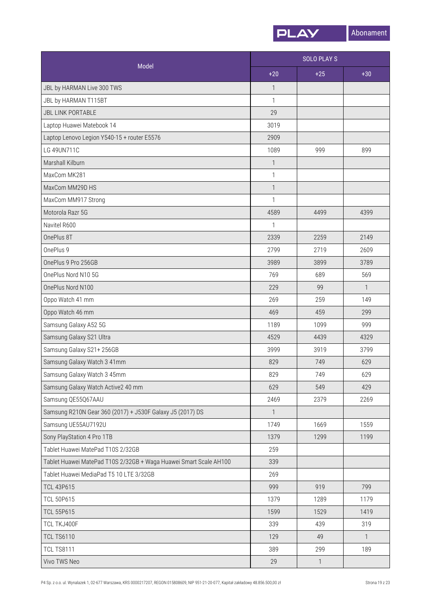![](_page_18_Picture_0.jpeg)

|                                                                   | <b>SOLO PLAY S</b> |       |              |
|-------------------------------------------------------------------|--------------------|-------|--------------|
| Model                                                             | $+20$              | $+25$ | $+30$        |
| JBL by HARMAN Live 300 TWS                                        | $\mathbf{1}$       |       |              |
| JBL by HARMAN T115BT                                              | 1                  |       |              |
| <b>JBL LINK PORTABLE</b>                                          | 29                 |       |              |
| Laptop Huawei Matebook 14                                         | 3019               |       |              |
| Laptop Lenovo Legion Y540-15 + router E5576                       | 2909               |       |              |
| LG 49UN711C                                                       | 1089               | 999   | 899          |
| Marshall Kilburn                                                  | $\mathbf{1}$       |       |              |
| MaxCom MK281                                                      | $\mathbf{1}$       |       |              |
| MaxCom MM29D HS                                                   | $\mathbf{1}$       |       |              |
| MaxCom MM917 Strong                                               | $\mathbf{1}$       |       |              |
| Motorola Razr 5G                                                  | 4589               | 4499  | 4399         |
| Navitel R600                                                      | $\mathbf{1}$       |       |              |
| OnePlus 8T                                                        | 2339               | 2259  | 2149         |
| OnePlus 9                                                         | 2799               | 2719  | 2609         |
| OnePlus 9 Pro 256GB                                               | 3989               | 3899  | 3789         |
| OnePlus Nord N10 5G                                               | 769                | 689   | 569          |
| OnePlus Nord N100                                                 | 229                | 99    | $\mathbf{1}$ |
| Oppo Watch 41 mm                                                  | 269                | 259   | 149          |
| Oppo Watch 46 mm                                                  | 469                | 459   | 299          |
| Samsung Galaxy A52 5G                                             | 1189               | 1099  | 999          |
| Samsung Galaxy S21 Ultra                                          | 4529               | 4439  | 4329         |
| Samsung Galaxy S21+256GB                                          | 3999               | 3919  | 3799         |
| Samsung Galaxy Watch 3 41mm                                       | 829                | 749   | 629          |
| Samsung Galaxy Watch 3 45mm                                       | 829                | 749   | 629          |
| Samsung Galaxy Watch Active2 40 mm                                | 629                | 549   | 429          |
| Samsung QE55Q67AAU                                                | 2469               | 2379  | 2269         |
| Samsung R210N Gear 360 (2017) + J530F Galaxy J5 (2017) DS         | $\mathbf{1}$       |       |              |
| Samsung UE55AU7192U                                               | 1749               | 1669  | 1559         |
| Sony PlayStation 4 Pro 1TB                                        | 1379               | 1299  | 1199         |
| Tablet Huawei MatePad T10S 2/32GB                                 | 259                |       |              |
| Tablet Huawei MatePad T10S 2/32GB + Waga Huawei Smart Scale AH100 | 339                |       |              |
| Tablet Huawei MediaPad T5 10 LTE 3/32GB                           | 269                |       |              |
| <b>TCL 43P615</b>                                                 | 999                | 919   | 799          |
| <b>TCL 50P615</b>                                                 | 1379               | 1289  | 1179         |
| <b>TCL 55P615</b>                                                 | 1599               | 1529  | 1419         |
| TCL TKJ400F                                                       | 339                | 439   | 319          |
| <b>TCL TS6110</b>                                                 | 129                | 49    | $\mathbf{1}$ |
| <b>TCL TS8111</b>                                                 | 389                | 299   | 189          |
| Vivo TWS Neo                                                      | 29                 | 1     |              |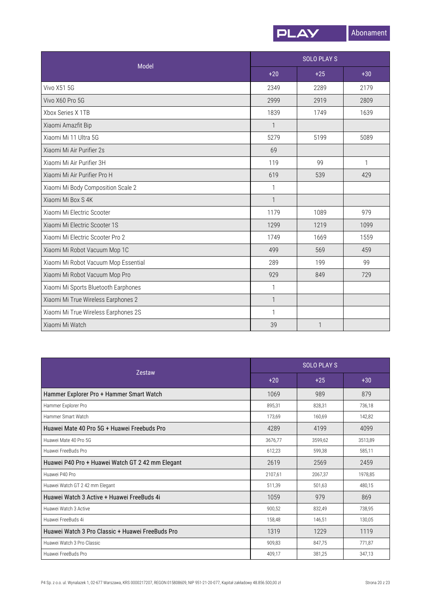![](_page_19_Picture_0.jpeg)

| <b>Model</b>                         |              | <b>SOLO PLAYS</b> |              |  |
|--------------------------------------|--------------|-------------------|--------------|--|
|                                      | $+20$        | $+25$             | $+30$        |  |
| <b>Vivo X51 5G</b>                   | 2349         | 2289              | 2179         |  |
| Vivo X60 Pro 5G                      | 2999         | 2919              | 2809         |  |
| Xbox Series X 1TB                    | 1839         | 1749              | 1639         |  |
| Xiaomi Amazfit Bip                   | $\mathbf{1}$ |                   |              |  |
| Xiaomi Mi 11 Ultra 5G                | 5279         | 5199              | 5089         |  |
| Xiaomi Mi Air Purifier 2s            | 69           |                   |              |  |
| Xiaomi Mi Air Purifier 3H            | 119          | 99                | $\mathbf{1}$ |  |
| Xiaomi Mi Air Purifier Pro H         | 619          | 539               | 429          |  |
| Xiaomi Mi Body Composition Scale 2   | $\mathbf{1}$ |                   |              |  |
| Xiaomi Mi Box S 4K                   | $\mathbf{1}$ |                   |              |  |
| Xiaomi Mi Electric Scooter           | 1179         | 1089              | 979          |  |
| Xiaomi Mi Electric Scooter 1S        | 1299         | 1219              | 1099         |  |
| Xiaomi Mi Electric Scooter Pro 2     | 1749         | 1669              | 1559         |  |
| Xiaomi Mi Robot Vacuum Mop 1C        | 499          | 569               | 459          |  |
| Xiaomi Mi Robot Vacuum Mop Essential | 289          | 199               | 99           |  |
| Xiaomi Mi Robot Vacuum Mop Pro       | 929          | 849               | 729          |  |
| Xiaomi Mi Sports Bluetooth Earphones | 1            |                   |              |  |
| Xiaomi Mi True Wireless Earphones 2  | $\mathbf{1}$ |                   |              |  |
| Xiaomi Mi True Wireless Earphones 2S | $\mathbf{1}$ |                   |              |  |
| Xiaomi Mi Watch                      | 39           |                   |              |  |

| <b>Zestaw</b>                                    |         | <b>SOLO PLAY S</b> |         |  |
|--------------------------------------------------|---------|--------------------|---------|--|
|                                                  | $+20$   | $+25$              | $+30$   |  |
| Hammer Explorer Pro + Hammer Smart Watch         | 1069    | 989                | 879     |  |
| Hammer Explorer Pro                              | 895,31  | 828,31             | 736,18  |  |
| Hammer Smart Watch                               | 173,69  | 160.69             | 142,82  |  |
| Huawei Mate 40 Pro 5G + Huawei Freebuds Pro      | 4289    | 4199               | 4099    |  |
| Huawei Mate 40 Pro 5G                            | 3676,77 | 3599,62            | 3513,89 |  |
| Huawei FreeBuds Pro                              | 612,23  | 599.38             | 585,11  |  |
| Huawei P40 Pro + Huawei Watch GT 2 42 mm Elegant | 2619    | 2569               | 2459    |  |
| Huawei P40 Pro                                   | 2107,61 | 2067,37            | 1978,85 |  |
| Huawei Watch GT 2 42 mm Elegant                  | 511,39  | 501,63             | 480,15  |  |
| Huawei Watch 3 Active + Huawei FreeBuds 4i       | 1059    | 979                | 869     |  |
| Huawei Watch 3 Active                            | 900,52  | 832,49             | 738,95  |  |
| Huawei FreeBuds 4i                               | 158,48  | 146,51             | 130,05  |  |
| Huawei Watch 3 Pro Classic + Huawei FreeBuds Pro | 1319    | 1229               | 1119    |  |
| Huawei Watch 3 Pro Classic                       | 909,83  | 847,75             | 771,87  |  |
| Huawei FreeBuds Pro                              | 409,17  | 381,25             | 347,13  |  |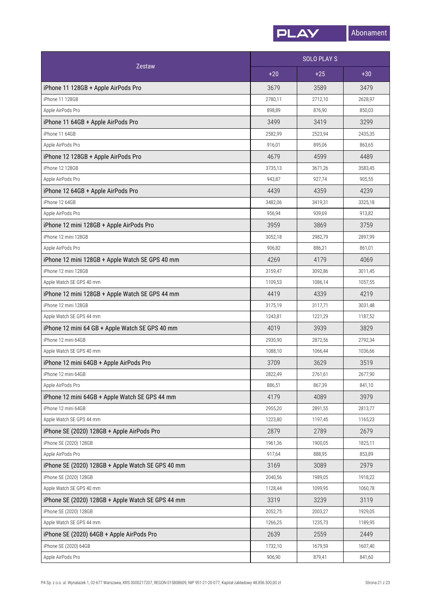![](_page_20_Picture_0.jpeg)

| <b>Zestaw</b>                                     |         | <b>SOLO PLAYS</b> |         |  |
|---------------------------------------------------|---------|-------------------|---------|--|
|                                                   | $+20$   | $+25$             | $+30$   |  |
| iPhone 11 128GB + Apple AirPods Pro               | 3679    | 3589              | 3479    |  |
| iPhone 11 128GB                                   | 2780,11 | 2712,10           | 2628,97 |  |
| Apple AirPods Pro                                 | 898,89  | 876,90            | 850,03  |  |
| iPhone 11 64GB + Apple AirPods Pro                | 3499    | 3419              | 3299    |  |
| iPhone 11 64GB                                    | 2582,99 | 2523,94           | 2435,35 |  |
| Apple AirPods Pro                                 | 916,01  | 895,06            | 863,65  |  |
| iPhone 12 128GB + Apple AirPods Pro               | 4679    | 4599              | 4489    |  |
| iPhone 12 128GB                                   | 3735,13 | 3671,26           | 3583,45 |  |
| Apple AirPods Pro                                 | 943,87  | 927,74            | 905,55  |  |
| iPhone 12 64GB + Apple AirPods Pro                | 4439    | 4359              | 4239    |  |
| iPhone 12 64GB                                    | 3482,06 | 3419,31           | 3325,18 |  |
| Apple AirPods Pro                                 | 956,94  | 939,69            | 913,82  |  |
| iPhone 12 mini 128GB + Apple AirPods Pro          | 3959    | 3869              | 3759    |  |
| iPhone 12 mini 128GB                              | 3052,18 | 2982,79           | 2897,99 |  |
| Apple AirPods Pro                                 | 906,82  | 886,21            | 861,01  |  |
| iPhone 12 mini 128GB + Apple Watch SE GPS 40 mm   | 4269    | 4179              | 4069    |  |
| iPhone 12 mini 128GB                              | 3159,47 | 3092,86           | 3011,45 |  |
| Apple Watch SE GPS 40 mm                          | 1109,53 | 1086,14           | 1057,55 |  |
| iPhone 12 mini 128GB + Apple Watch SE GPS 44 mm   | 4419    | 4339              | 4219    |  |
| iPhone 12 mini 128GB                              | 3175,19 | 3117,71           | 3031,48 |  |
| Apple Watch SE GPS 44 mm                          | 1243,81 | 1221,29           | 1187,52 |  |
| iPhone 12 mini 64 GB + Apple Watch SE GPS 40 mm   | 4019    | 3939              | 3829    |  |
| iPhone 12 mini 64GB                               | 2930,90 | 2872,56           | 2792,34 |  |
| Apple Watch SE GPS 40 mm                          | 1088,10 | 1066,44           | 1036,66 |  |
| iPhone 12 mini 64GB + Apple AirPods Pro           | 3709    | 3629              | 3519    |  |
| iPhone 12 mini 64GB                               | 2822,49 | 2761,61           | 2677,90 |  |
| Apple AirPods Pro                                 | 886,51  | 867,39            | 841,10  |  |
| iPhone 12 mini 64GB + Apple Watch SE GPS 44 mm    | 4179    | 4089              | 3979    |  |
| iPhone 12 mini 64GB                               | 2955,20 | 2891,55           | 2813,77 |  |
| Apple Watch SE GPS 44 mm                          | 1223,80 | 1197,45           | 1165,23 |  |
| iPhone SE (2020) 128GB + Apple AirPods Pro        | 2879    | 2789              | 2679    |  |
| iPhone SE (2020) 128GB                            | 1961,36 | 1900,05           | 1825,11 |  |
| Apple AirPods Pro                                 | 917,64  | 888,95            | 853,89  |  |
| iPhone SE (2020) 128GB + Apple Watch SE GPS 40 mm | 3169    | 3089              | 2979    |  |
| iPhone SE (2020) 128GB                            | 2040,56 | 1989,05           | 1918,22 |  |
| Apple Watch SE GPS 40 mm                          | 1128,44 | 1099,95           | 1060,78 |  |
| iPhone SE (2020) 128GB + Apple Watch SE GPS 44 mm | 3319    | 3239              | 3119    |  |
| iPhone SE (2020) 128GB                            | 2052,75 | 2003,27           | 1929,05 |  |
| Apple Watch SE GPS 44 mm                          | 1266,25 | 1235,73           | 1189,95 |  |
| iPhone SE (2020) 64GB + Apple AirPods Pro         | 2639    | 2559              | 2449    |  |
| iPhone SE (2020) 64GB                             | 1732,10 | 1679,59           | 1607,40 |  |
| Apple AirPods Pro                                 | 906,90  | 879,41            | 841,60  |  |
|                                                   |         |                   |         |  |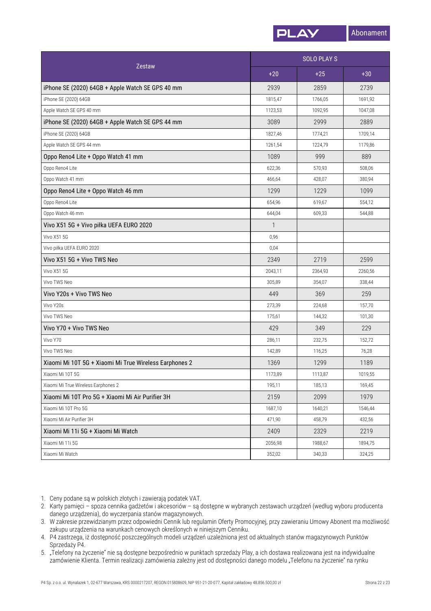![](_page_21_Picture_0.jpeg)

| Zestaw                                                 | <b>SOLO PLAYS</b> |         |         |
|--------------------------------------------------------|-------------------|---------|---------|
|                                                        | $+20$             | $+25$   | $+30$   |
| iPhone SE (2020) 64GB + Apple Watch SE GPS 40 mm       | 2939              | 2859    | 2739    |
| iPhone SE (2020) 64GB                                  | 1815,47           | 1766,05 | 1691,92 |
| Apple Watch SE GPS 40 mm                               | 1123,53           | 1092,95 | 1047,08 |
| iPhone SE (2020) 64GB + Apple Watch SE GPS 44 mm       | 3089              | 2999    | 2889    |
| iPhone SE (2020) 64GB                                  | 1827,46           | 1774,21 | 1709,14 |
| Apple Watch SE GPS 44 mm                               | 1261,54           | 1224,79 | 1179,86 |
| Oppo Reno4 Lite + Oppo Watch 41 mm                     | 1089              | 999     | 889     |
| Oppo Reno4 Lite                                        | 622,36            | 570,93  | 508,06  |
| Oppo Watch 41 mm                                       | 466,64            | 428,07  | 380,94  |
| Oppo Reno4 Lite + Oppo Watch 46 mm                     | 1299              | 1229    | 1099    |
| Oppo Reno4 Lite                                        | 654,96            | 619,67  | 554,12  |
| Oppo Watch 46 mm                                       | 644,04            | 609,33  | 544,88  |
| Vivo X51 5G + Vivo piłka UEFA EURO 2020                | 1                 |         |         |
| Vivo X51 5G                                            | 0,96              |         |         |
| Vivo piłka UEFA EURO 2020                              | 0,04              |         |         |
| Vivo X51 5G + Vivo TWS Neo                             | 2349              | 2719    | 2599    |
| <b>Vivo X51 5G</b>                                     | 2043,11           | 2364,93 | 2260,56 |
| Vivo TWS Neo                                           | 305,89            | 354,07  | 338,44  |
| Vivo Y20s + Vivo TWS Neo                               | 449               | 369     | 259     |
| Vivo Y20s                                              | 273,39            | 224,68  | 157,70  |
| Vivo TWS Neo                                           | 175,61            | 144,32  | 101,30  |
| Vivo Y70 + Vivo TWS Neo                                | 429               | 349     | 229     |
| Vivo Y70                                               | 286,11            | 232,75  | 152,72  |
| Vivo TWS Neo                                           | 142,89            | 116,25  | 76,28   |
| Xiaomi Mi 10T 5G + Xiaomi Mi True Wireless Earphones 2 | 1369              | 1299    | 1189    |
| Xiaomi Mi 10T 5G                                       | 1173,89           | 1113,87 | 1019,55 |
| Xiaomi Mi True Wireless Earphones 2                    | 195,11            | 185,13  | 169,45  |
| Xiaomi Mi 10T Pro 5G + Xiaomi Mi Air Purifier 3H       | 2159              | 2099    | 1979    |
| Xiaomi Mi 10T Pro 5G                                   | 1687,10           | 1640,21 | 1546,44 |
| Xiaomi Mi Air Purifier 3H                              | 471,90            | 458,79  | 432,56  |
| Xiaomi Mi 11i 5G + Xiaomi Mi Watch                     | 2409              | 2329    | 2219    |
| Xiaomi Mi 11i 5G                                       | 2056,98           | 1988,67 | 1894,75 |
| Xiaomi Mi Watch                                        | 352,02            | 340,33  | 324,25  |

1. Ceny podane są w polskich złotych i zawierają podatek VAT.

- 2. Karty pamięci spoza cennika gadżetów i akcesoriów są dostępne w wybranych zestawach urządzeń (według wyboru producenta danego urządzenia), do wyczerpania stanów magazynowych.
- 3. W zakresie przewidzianym przez odpowiedni Cennik lub regulamin Oferty Promocyjnej, przy zawieraniu Umowy Abonent ma możliwość zakupu urządzenia na warunkach cenowych określonych w niniejszym Cenniku.
- P4 zastrzega, iż dostępność poszczególnych modeli urządzeń uzależniona jestod aktualnych stanów magazynowych Punktów 4. Sprzedaży P4.
- 5. "Telefony na życzenie" nie są dostępne bezpośrednio w punktach sprzedaży Play, a ich dostawa realizowana jest na indywidualne zamówienie Klienta. Termin realizacji zamówienia zależny jest od dostępności danego modelu "Telefonu na życzenie" na rynku